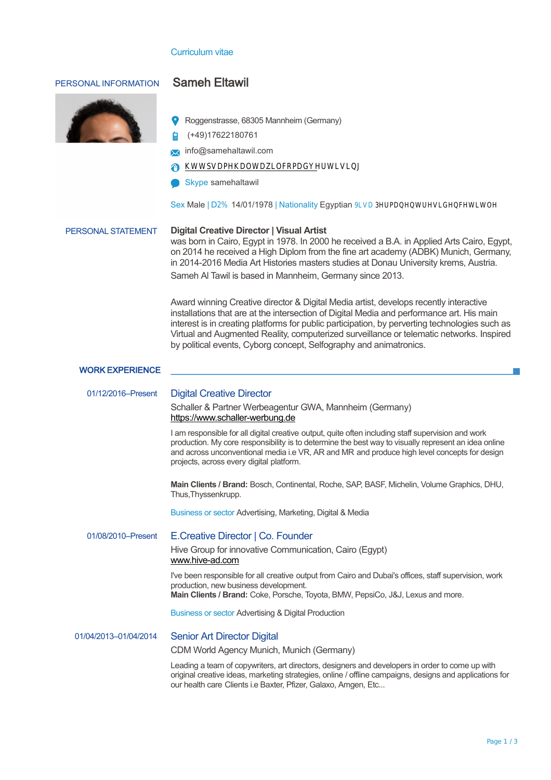## Curriculum vitae

| PERSONAL INFORMATION   | <b>Sameh Eltawil</b>                                                                                                                                                                                                                                                                                                                                                                                                                                   |
|------------------------|--------------------------------------------------------------------------------------------------------------------------------------------------------------------------------------------------------------------------------------------------------------------------------------------------------------------------------------------------------------------------------------------------------------------------------------------------------|
|                        |                                                                                                                                                                                                                                                                                                                                                                                                                                                        |
|                        | Roggenstrasse, 68305 Mannheim (Germany)                                                                                                                                                                                                                                                                                                                                                                                                                |
|                        | (+49)17622180761                                                                                                                                                                                                                                                                                                                                                                                                                                       |
|                        | info@samehaltawil.com                                                                                                                                                                                                                                                                                                                                                                                                                                  |
|                        | 0000000NON00-00'00-000-000000q000N0-0j00'00000000N<br>₩                                                                                                                                                                                                                                                                                                                                                                                                |
|                        | Skype samehaltawil                                                                                                                                                                                                                                                                                                                                                                                                                                     |
|                        |                                                                                                                                                                                                                                                                                                                                                                                                                                                        |
| PERSONAL STATEMENT     | <b>Digital Creative Director   Visual Artist</b><br>was born in Cairo, Egypt in 1978. In 2000 he received a B.A. in Applied Arts Cairo, Egypt,<br>on 2014 he received a High Diplom from the fine art academy (ADBK) Munich, Germany,<br>in 2014-2016 Media Art Histories masters studies at Donau University krems, Austria.<br>Sameh Al Tawil is based in Mannheim, Germany since 2013.                                                              |
|                        | Award winning Creative director & Digital Media artist, develops recently interactive<br>installations that are at the intersection of Digital Media and performance art. His main<br>interest is in creating platforms for public participation, by perverting technologies such as<br>Virtual and Augmented Reality, computerized surveillance or telematic networks. Inspired<br>by political events, Cyborg concept, Selfography and animatronics. |
| <b>WORK EXPERIENCE</b> |                                                                                                                                                                                                                                                                                                                                                                                                                                                        |
| 01/12/2016-Present     | <b>Digital Creative Director</b>                                                                                                                                                                                                                                                                                                                                                                                                                       |
|                        | Schaller & Partner Werbeagentur GWA, Mannheim (Germany)<br>https://www.schaller-werbung.de                                                                                                                                                                                                                                                                                                                                                             |
|                        | I am responsible for all digital creative output, quite often including staff supervision and work<br>production. My core responsibility is to determine the best way to visually represent an idea online<br>and across unconventional media i.e VR, AR and MR and produce high level concepts for design<br>projects, across every digital platform.                                                                                                 |
|                        | Main Clients / Brand: Bosch, Continental, Roche, SAP, BASF, Michelin, Volume Graphics, DHU,<br>Thus, Thyssenkrupp.                                                                                                                                                                                                                                                                                                                                     |
|                        | Business or sector Advertising, Marketing, Digital & Media                                                                                                                                                                                                                                                                                                                                                                                             |
| 01/08/2010-Present     | E.Creative Director   Co. Founder                                                                                                                                                                                                                                                                                                                                                                                                                      |
|                        | Hive Group for innovative Communication, Cairo (Egypt)<br>www.hive-ad.com                                                                                                                                                                                                                                                                                                                                                                              |
|                        | I've been responsible for all creative output from Cairo and Dubai's offices, staff supervision, work<br>production, new business development.<br>Main Clients / Brand: Coke, Porsche, Toyota, BMW, PepsiCo, J&J, Lexus and more.                                                                                                                                                                                                                      |
|                        | <b>Business or sector Advertising &amp; Digital Production</b>                                                                                                                                                                                                                                                                                                                                                                                         |
| 01/04/2013-01/04/2014  | <b>Senior Art Director Digital</b>                                                                                                                                                                                                                                                                                                                                                                                                                     |
|                        | CDM World Agency Munich, Munich (Germany)                                                                                                                                                                                                                                                                                                                                                                                                              |
|                        | Leading a team of copywriters, art directors, designers and developers in order to come up with<br>original creative ideas, marketing strategies, online / offline campaigns, designs and applications for<br>our health care Clients i.e Baxter, Pfizer, Galaxo, Amgen, Etc                                                                                                                                                                           |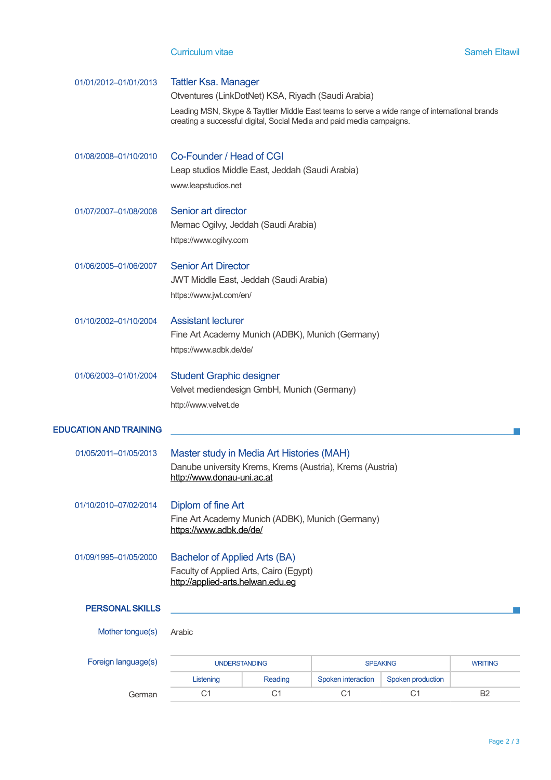| 01/01/2012-01/01/2013         | <b>Tattler Ksa. Manager</b><br>Otventures (LinkDotNet) KSA, Riyadh (Saudi Arabia)                                                                                      |         |                    |                   |  |  |  |
|-------------------------------|------------------------------------------------------------------------------------------------------------------------------------------------------------------------|---------|--------------------|-------------------|--|--|--|
|                               | Leading MSN, Skype & Tayttler Middle East teams to serve a wide range of international brands<br>creating a successful digital, Social Media and paid media campaigns. |         |                    |                   |  |  |  |
| 01/08/2008-01/10/2010         | Co-Founder / Head of CGI<br>Leap studios Middle East, Jeddah (Saudi Arabia)<br>www.leapstudios.net                                                                     |         |                    |                   |  |  |  |
| 01/07/2007-01/08/2008         | Senior art director<br>Memac Ogilvy, Jeddah (Saudi Arabia)<br>https://www.ogilvy.com                                                                                   |         |                    |                   |  |  |  |
| 01/06/2005-01/06/2007         | <b>Senior Art Director</b><br><b>JWT Middle East, Jeddah (Saudi Arabia)</b><br>https://www.jwt.com/en/                                                                 |         |                    |                   |  |  |  |
| 01/10/2002-01/10/2004         | <b>Assistant lecturer</b><br>Fine Art Academy Munich (ADBK), Munich (Germany)<br>https://www.adbk.de/de/                                                               |         |                    |                   |  |  |  |
| 01/06/2003-01/01/2004         | <b>Student Graphic designer</b><br>Velvet mediendesign GmbH, Munich (Germany)<br>http://www.velvet.de                                                                  |         |                    |                   |  |  |  |
| <b>EDUCATION AND TRAINING</b> |                                                                                                                                                                        |         |                    |                   |  |  |  |
| 01/05/2011-01/05/2013         | Master study in Media Art Histories (MAH)<br>Danube university Krems, Krems (Austria), Krems (Austria)<br>http://www.donau-uni.ac.at                                   |         |                    |                   |  |  |  |
| 01/10/2010-07/02/2014         | Diplom of fine Art<br>Fine Art Academy Munich (ADBK), Munich (Germany)<br>https://www.adbk.de/de/                                                                      |         |                    |                   |  |  |  |
| 01/09/1995-01/05/2000         | <b>Bachelor of Applied Arts (BA)</b><br>Faculty of Applied Arts, Cairo (Egypt)<br>http://applied-arts.helwan.edu.eq                                                    |         |                    |                   |  |  |  |
| <b>PERSONAL SKILLS</b>        |                                                                                                                                                                        |         |                    |                   |  |  |  |
| Mother tongue(s)              | Arabic                                                                                                                                                                 |         |                    |                   |  |  |  |
| Foreign language(s)           | <b>UNDERSTANDING</b><br><b>SPEAKING</b>                                                                                                                                |         |                    | <b>WRITING</b>    |  |  |  |
|                               | Listening                                                                                                                                                              | Reading | Spoken interaction | Spoken production |  |  |  |